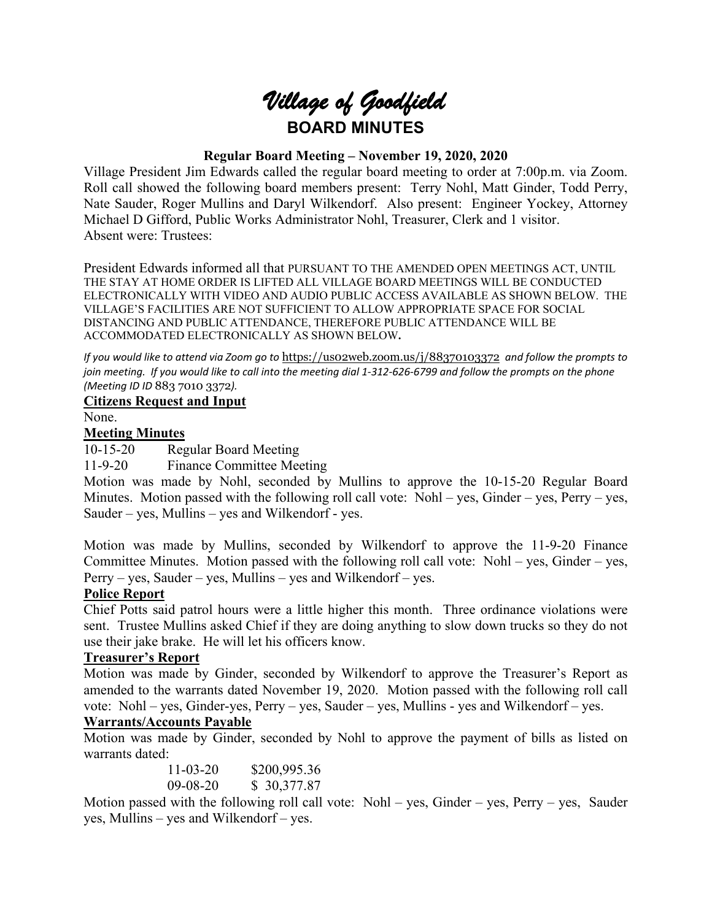

## **Regular Board Meeting – November 19, 2020, 2020**

Village President Jim Edwards called the regular board meeting to order at 7:00p.m. via Zoom. Roll call showed the following board members present: Terry Nohl, Matt Ginder, Todd Perry, Nate Sauder, Roger Mullins and Daryl Wilkendorf. Also present: Engineer Yockey, Attorney Michael D Gifford, Public Works Administrator Nohl, Treasurer, Clerk and 1 visitor. Absent were: Trustees:

President Edwards informed all that PURSUANT TO THE AMENDED OPEN MEETINGS ACT, UNTIL THE STAY AT HOME ORDER IS LIFTED ALL VILLAGE BOARD MEETINGS WILL BE CONDUCTED ELECTRONICALLY WITH VIDEO AND AUDIO PUBLIC ACCESS AVAILABLE AS SHOWN BELOW. THE VILLAGE'S FACILITIES ARE NOT SUFFICIENT TO ALLOW APPROPRIATE SPACE FOR SOCIAL DISTANCING AND PUBLIC ATTENDANCE, THEREFORE PUBLIC ATTENDANCE WILL BE ACCOMMODATED ELECTRONICALLY AS SHOWN BELOW**.**

*If you would like to attend via Zoom go to* <https://us02web.zoom.us/j/88370103372> *and follow the prompts to join meeting. If you would like to call into the meeting dial 1-312-626-6799 and follow the prompts on the phone (Meeting ID ID* 883 7010 3372*).*

#### **Citizens Request and Input**

None.

#### **Meeting Minutes**

10-15-20 Regular Board Meeting

11-9-20 Finance Committee Meeting

Motion was made by Nohl, seconded by Mullins to approve the 10-15-20 Regular Board Minutes. Motion passed with the following roll call vote: Nohl – yes, Ginder – yes, Perry – yes, Sauder – yes, Mullins – yes and Wilkendorf - yes.

Motion was made by Mullins, seconded by Wilkendorf to approve the 11-9-20 Finance Committee Minutes. Motion passed with the following roll call vote: Nohl – yes, Ginder – yes,  $Perry - yes$ , Sauder – yes, Mullins – yes and Wilkendorf – yes.

## **Police Report**

Chief Potts said patrol hours were a little higher this month. Three ordinance violations were sent. Trustee Mullins asked Chief if they are doing anything to slow down trucks so they do not use their jake brake. He will let his officers know.

## **Treasurer's Report**

Motion was made by Ginder, seconded by Wilkendorf to approve the Treasurer's Report as amended to the warrants dated November 19, 2020. Motion passed with the following roll call vote: Nohl – yes, Ginder-yes, Perry – yes, Sauder – yes, Mullins - yes and Wilkendorf – yes.

## **Warrants/Accounts Payable**

Motion was made by Ginder, seconded by Nohl to approve the payment of bills as listed on warrants dated:

| $11 - 03 - 20$ | \$200,995.36 |
|----------------|--------------|
| $09 - 08 - 20$ | \$ 30,377.87 |

Motion passed with the following roll call vote: Nohl – yes, Ginder – yes, Perry – yes, Sauder yes, Mullins – yes and Wilkendorf – yes.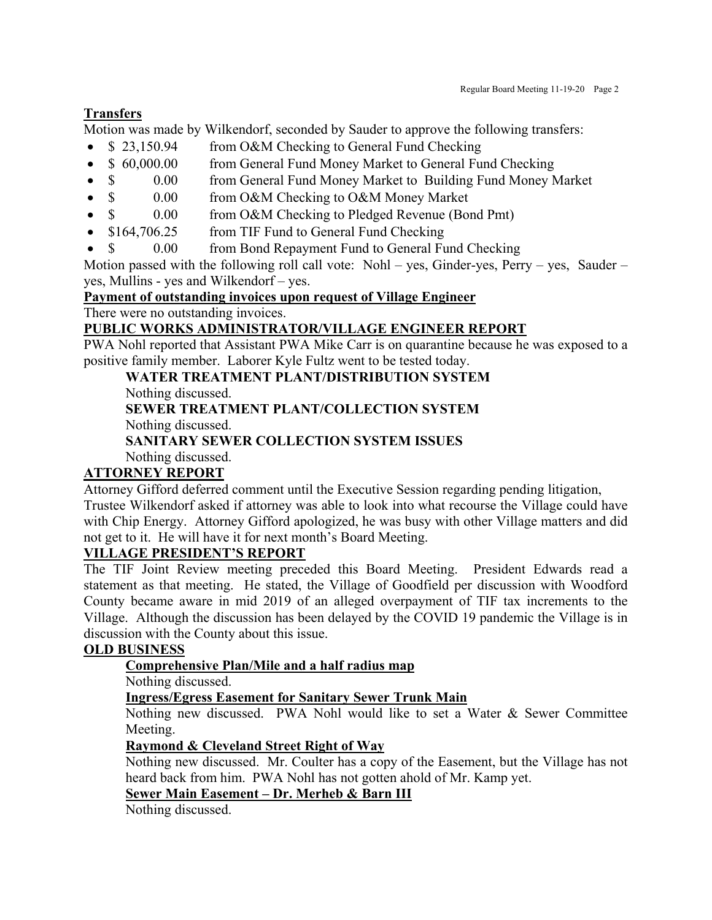## **Transfers**

Motion was made by Wilkendorf, seconded by Sauder to approve the following transfers:

- \$ 23,150.94 from O&M Checking to General Fund Checking
- \$ 60,000.00 from General Fund Money Market to General Fund Checking
- \$ 0.00 from General Fund Money Market to Building Fund Money Market
- \$ 0.00 from O&M Checking to O&M Money Market
- \$ 0.00 from O&M Checking to Pledged Revenue (Bond Pmt)
- \$164,706.25 from TIF Fund to General Fund Checking
- \$ 0.00 from Bond Repayment Fund to General Fund Checking

Motion passed with the following roll call vote: Nohl – yes, Ginder-yes, Perry – yes, Sauder – yes, Mullins - yes and Wilkendorf – yes.

#### **Payment of outstanding invoices upon request of Village Engineer**

There were no outstanding invoices.

## **PUBLIC WORKS ADMINISTRATOR/VILLAGE ENGINEER REPORT**

PWA Nohl reported that Assistant PWA Mike Carr is on quarantine because he was exposed to a positive family member. Laborer Kyle Fultz went to be tested today.

**WATER TREATMENT PLANT/DISTRIBUTION SYSTEM**

Nothing discussed.

**SEWER TREATMENT PLANT/COLLECTION SYSTEM**

Nothing discussed.

# **SANITARY SEWER COLLECTION SYSTEM ISSUES**

Nothing discussed.

## **ATTORNEY REPORT**

Attorney Gifford deferred comment until the Executive Session regarding pending litigation,

Trustee Wilkendorf asked if attorney was able to look into what recourse the Village could have with Chip Energy. Attorney Gifford apologized, he was busy with other Village matters and did not get to it. He will have it for next month's Board Meeting.

#### **VILLAGE PRESIDENT'S REPORT**

The TIF Joint Review meeting preceded this Board Meeting. President Edwards read a statement as that meeting. He stated, the Village of Goodfield per discussion with Woodford County became aware in mid 2019 of an alleged overpayment of TIF tax increments to the Village. Although the discussion has been delayed by the COVID 19 pandemic the Village is in discussion with the County about this issue.

#### **OLD BUSINESS**

## **Comprehensive Plan/Mile and a half radius map**

Nothing discussed.

**Ingress/Egress Easement for Sanitary Sewer Trunk Main**

Nothing new discussed. PWA Nohl would like to set a Water & Sewer Committee Meeting.

#### **Raymond & Cleveland Street Right of Way**

Nothing new discussed. Mr. Coulter has a copy of the Easement, but the Village has not heard back from him. PWA Nohl has not gotten ahold of Mr. Kamp yet.

## **Sewer Main Easement – Dr. Merheb & Barn III**

Nothing discussed.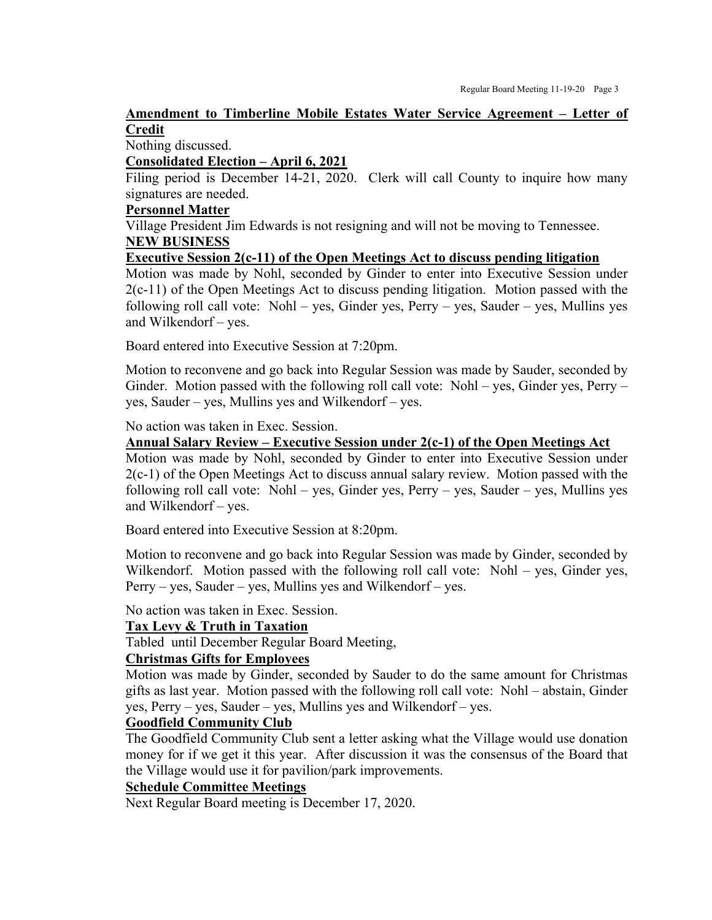## **Amendment to Timberline Mobile Estates Water Service Agreement – Letter of Credit**

Nothing discussed.

#### **Consolidated Election – April 6, 2021**

Filing period is December 14-21, 2020. Clerk will call County to inquire how many signatures are needed.

#### **Personnel Matter**

Village President Jim Edwards is not resigning and will not be moving to Tennessee. **NEW BUSINESS**

#### **Executive Session 2(c-11) of the Open Meetings Act to discuss pending litigation**

Motion was made by Nohl, seconded by Ginder to enter into Executive Session under 2(c-11) of the Open Meetings Act to discuss pending litigation. Motion passed with the following roll call vote: Nohl – yes, Ginder yes, Perry – yes, Sauder – yes, Mullins yes and Wilkendorf – yes.

Board entered into Executive Session at 7:20pm.

Motion to reconvene and go back into Regular Session was made by Sauder, seconded by Ginder. Motion passed with the following roll call vote: Nohl – yes, Ginder yes, Perry – yes, Sauder – yes, Mullins yes and Wilkendorf – yes.

No action was taken in Exec. Session.

#### **Annual Salary Review – Executive Session under 2(c-1) of the Open Meetings Act**

Motion was made by Nohl, seconded by Ginder to enter into Executive Session under 2(c-1) of the Open Meetings Act to discuss annual salary review. Motion passed with the following roll call vote: Nohl – yes, Ginder yes, Perry – yes, Sauder – yes, Mullins yes and Wilkendorf – yes.

Board entered into Executive Session at 8:20pm.

Motion to reconvene and go back into Regular Session was made by Ginder, seconded by Wilkendorf. Motion passed with the following roll call vote: Nohl – yes, Ginder yes, Perry – yes, Sauder – yes, Mullins yes and Wilkendorf – yes.

No action was taken in Exec. Session.

#### **Tax Levy & Truth in Taxation**

Tabled until December Regular Board Meeting,

#### **Christmas Gifts for Employees**

Motion was made by Ginder, seconded by Sauder to do the same amount for Christmas gifts as last year. Motion passed with the following roll call vote: Nohl – abstain, Ginder yes, Perry – yes, Sauder – yes, Mullins yes and Wilkendorf – yes.

## **Goodfield Community Club**

The Goodfield Community Club sent a letter asking what the Village would use donation money for if we get it this year. After discussion it was the consensus of the Board that the Village would use it for pavilion/park improvements.

#### **Schedule Committee Meetings**

Next Regular Board meeting is December 17, 2020.